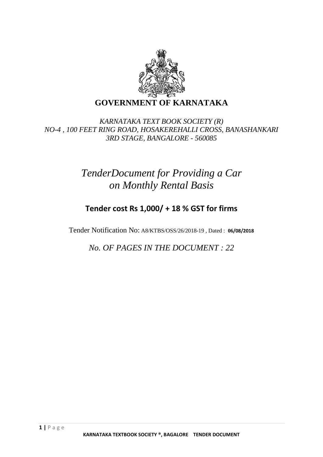

## *KARNATAKA TEXT BOOK SOCIETY (R) NO-4 , 100 FEET RING ROAD, HOSAKEREHALLI CROSS, BANASHANKARI 3RD STAGE, BANGALORE - 560085*

# *TenderDocument for Providing a Car on Monthly Rental Basis*

## **Tender cost Rs 1,000/ + 18 % GST for firms**

Tender Notification No: A8/KTBS/OSS/26/2018-19 , Dated : **06/08/2018**

*No. OF PAGES IN THE DOCUMENT : 22*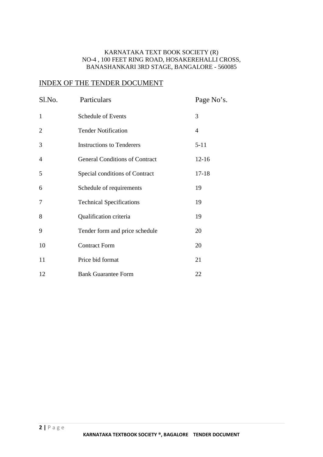## KARNATAKA TEXT BOOK SOCIETY (R) NO-4 , 100 FEET RING ROAD, HOSAKEREHALLI CROSS, BANASHANKARI 3RD STAGE, BANGALORE - 560085

## INDEX OF THE TENDER DOCUMENT

| Sl.No. | Particulars                           | Page No's. |
|--------|---------------------------------------|------------|
| 1      | <b>Schedule of Events</b>             | 3          |
| 2      | <b>Tender Notification</b>            | 4          |
| 3      | <b>Instructions to Tenderers</b>      | $5 - 11$   |
| 4      | <b>General Conditions of Contract</b> | $12 - 16$  |
| 5      | Special conditions of Contract        | $17 - 18$  |
| 6      | Schedule of requirements              | 19         |
| 7      | <b>Technical Specifications</b>       | 19         |
| 8      | Qualification criteria                | 19         |
| 9      | Tender form and price schedule        | 20         |
| 10     | <b>Contract Form</b>                  | 20         |
| 11     | Price bid format                      | 21         |
| 12     | <b>Bank Guarantee Form</b>            | 22         |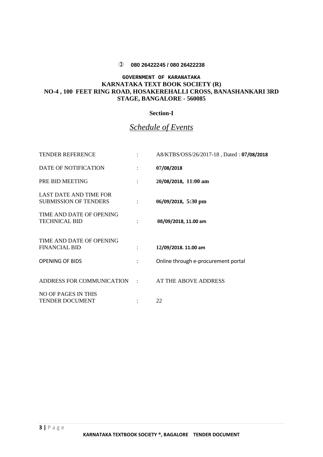## **080 26422245 / 080 26422238**

## **GOVERNMENT OF KARANATAKA KARNATAKA TEXT BOOK SOCIETY (R) NO-4 , 100 FEET RING ROAD, HOSAKEREHALLI CROSS, BANASHANKARI 3RD STAGE, BANGALORE - 560085**

## **Section-I**

## *Schedule of Events*

| <b>TENDER REFERENCE</b>                                       |                      | A8/KTBS/OSS/26/2017-18, Dated: 07/08/2018 |
|---------------------------------------------------------------|----------------------|-------------------------------------------|
| DATE OF NOTIFICATION                                          | $\ddot{\cdot}$       | 07/08/2018                                |
| PRE BID MEETING                                               | $\ddot{\cdot}$       | 20/08/2018, 11:00 am                      |
| <b>LAST DATE AND TIME FOR</b><br><b>SUBMISSION OF TENDERS</b> | ÷                    | 06/09/2018, 5:30 pm                       |
| TIME AND DATE OF OPENING<br><b>TECHNICAL BID</b>              |                      | 08/09/2018, 11.00 am                      |
| TIME AND DATE OF OPENING<br><b>FINANCIAL BID</b>              | $\ddot{\phantom{a}}$ | 12/09/2018. 11.00 am                      |
| <b>OPENING OF BIDS</b>                                        | $\mathcal{L}$        | Online through e-procurement portal       |
| ADDRESS FOR COMMUNICATION :                                   |                      | AT THE ABOVE ADDRESS                      |
| NO OF PAGES IN THIS<br><b>TENDER DOCUMENT</b>                 |                      | 22                                        |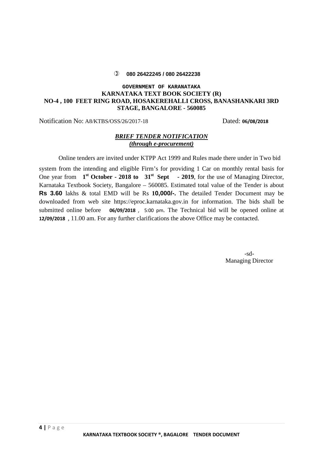## **080 26422245 / 080 26422238**

## **GOVERNMENT OF KARANATAKA KARNATAKA TEXT BOOK SOCIETY (R) NO-4 , 100 FEET RING ROAD, HOSAKEREHALLI CROSS, BANASHANKARI 3RD STAGE, BANGALORE - 560085**

Notification No: A8/KTBS/OSS/26/2017-18 Dated: **06/08/2018**

## *BRIEF TENDER NOTIFICATION (through e-procurement)*

Online tenders are invited under KTPP Act 1999 and Rules made there under in Two bid

system from the intending and eligible Firm's for providing 1 Car on monthly rental basis for One year from 1<sup>st</sup> October - 2018 to 31<sup>st</sup> Sept - 2019, for the use of Managing Director, Karnataka Textbook Society, Bangalore – 560085. Estimated total value of the Tender is about **Rs 3.60** lakhs & total EMD will be Rs **10,000/-.** The detailed Tender Document may be downloaded from web site https://eproc.karnataka.gov.in for information. The bids shall be submitted online before **06/09/2018** , 5:00 pm. The Technical bid will be opened online at **12/09/2018** , 11.00 am. For any further clarifications the above Office may be contacted.

> -sd-Managing Director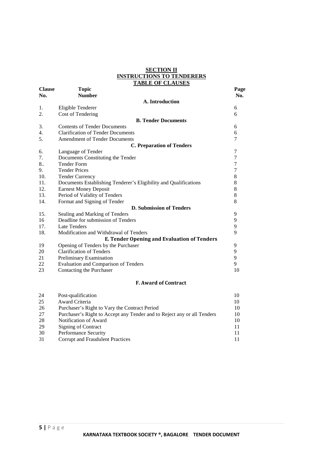## **SECTION II INSTRUCTIONS TO TENDERERS TABLE OF CLAUSES**

| <b>Clause</b><br>No. | <b>Topic</b><br><b>Number</b>                                    | Page<br>No.    |
|----------------------|------------------------------------------------------------------|----------------|
|                      | A. Introduction                                                  |                |
| 1.                   | Eligible Tenderer                                                | 6              |
| 2.                   | Cost of Tendering                                                | 6              |
|                      | <b>B. Tender Documents</b>                                       |                |
| 3.                   | <b>Contents of Tender Documents</b>                              | 6              |
| 4.                   | <b>Clarification of Tender Documents</b>                         | 6              |
| 5.                   | <b>Amendment of Tender Documents</b>                             | 7              |
|                      | <b>C. Preparation of Tenders</b>                                 |                |
| 6.                   | Language of Tender                                               | 7              |
| 7.                   | Documents Constituting the Tender                                | $\overline{7}$ |
| 8                    | <b>Tender Form</b>                                               | $\overline{7}$ |
| 9.                   | <b>Tender Prices</b>                                             | $\overline{7}$ |
| 10.                  | <b>Tender Currency</b>                                           | $\,$ 8 $\,$    |
| 11.                  | Documents Establishing Tenderer's Eligibility and Qualifications | 8              |
| 12.                  | <b>Earnest Money Deposit</b>                                     | 8              |
| 13.                  | Period of Validity of Tenders                                    | 8              |
| 14.                  | Format and Signing of Tender                                     | 8              |
|                      | <b>D. Submission of Tenders</b>                                  |                |
| 15.                  | Sealing and Marking of Tenders                                   | 9              |
| 16                   | Deadline for submission of Tenders                               | 9              |
| 17.                  | <b>Late Tenders</b>                                              | 9              |
| 18.                  | Modification and Withdrawal of Tenders                           | 9              |
|                      | <b>E. Tender Opening and Evaluation of Tenders</b>               |                |
| 19                   | Opening of Tenders by the Purchaser                              | 9              |
| 20                   | <b>Clarification of Tenders</b>                                  | 9              |
| 21                   | Preliminary Examination                                          | 9              |
| 22                   | Evaluation and Comparison of Tenders                             | 9              |
| 23                   | Contacting the Purchaser                                         | 10             |
|                      |                                                                  |                |

## **F. Award of Contract**

| 24  | Post-qualification                                                      | 10 |
|-----|-------------------------------------------------------------------------|----|
| 25  | Award Criteria                                                          | 10 |
| -26 | Purchaser's Right to Vary the Contract Period                           | 10 |
| 27  | Purchaser's Right to Accept any Tender and to Reject any or all Tenders | 10 |
| 28  | Notification of Award                                                   | 10 |
| 29  | Signing of Contract                                                     | 11 |
| 30  | Performance Security                                                    | 11 |
| 31  | Corrupt and Fraudulent Practices                                        | 11 |
|     |                                                                         |    |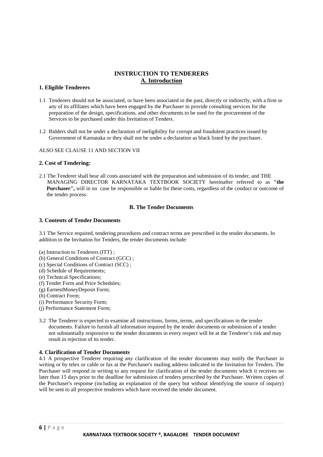## **INSTRUCTION TO TENDERERS A. Introduction**

## **1. Eligible Tenderers**

- 1.1 Tenderers should not be associated, or have been associated in the past, directly or indirectly, with a firm or any of its affiliates which have been engaged by the Purchaser to provide consulting services for the preparation of the design, specifications, and other documents to be used for the procurement of the Services to be purchased under this Invitation of Tenders.
- 1.2 Bidders shall not be under a declaration of ineligibility for corrupt and fraudulent practices issued by Government of Karnataka or they shall not be under a declaration as black listed by the purchaser.

ALSO SEE CLAUSE 11 AND SECTION VII

### **2. Cost of Tendering:**

2.1 The Tenderer shall bear all costs associated with the preparation and submission of its tender, and THE MANAGING DIRECTOR KARNATAKA TEXTBOOK SOCIETY hereinafter referred to as **"the Purchaser",** will in no case be responsible or liable for these costs, regardless of the conduct or outcome of the tender process.

## **B. The Tender Documents**

## **3. Contents of Tender Documents**

3.1 The Service required, tendering procedures and contract terms are prescribed in the tender documents. In addition to the Invitation for Tenders, the tender documents include:

- (a) Instruction to Tenderers (ITT) ;
- (b) General Conditions of Contract (GCC) ;
- (c) Special Conditions of Contract (SCC) ;
- (d) Schedule of Requirements;
- (e) Technical Specifications;
- (f) Tender Form and Price Schedules;
- (g) EarnestMoneyDeposit Form;
- (h) Contract Form;
- (i) Performance Security Form;
- (j) Performance Statement Form;
- 3.2 The Tenderer is expected to examine all instructions, forms, terms, and specifications in the tender documents. Failure to furnish all information required by the tender documents or submission of a tender not substantially responsive to the tender documents in every respect will be at the Tenderer's risk and may result in rejection of its tender.

### **4. Clarification of Tender Documents**

4.1 A prospective Tenderer requiring any clarification of the tender documents may notify the Purchaser in writing or by telex or cable or fax at the Purchaser's mailing address indicated in the Invitation for Tenders. The Purchaser will respond in writing to any request for clarification of the tender documents which it receives no later than 15 days prior to the deadline for submission of tenders prescribed by the Purchaser. Written copies of the Purchaser's response (including an explanation of the query but without identifying the source of inquiry) will be sent to all prospective tenderers which have received the tender document.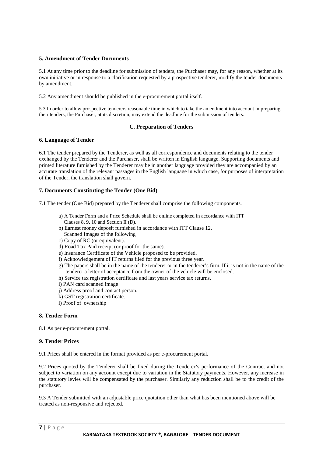## **5. Amendment of Tender Documents**

5.1 At any time prior to the deadline for submission of tenders, the Purchaser may, for any reason, whether at its own initiative or in response to a clarification requested by a prospective tenderer, modify the tender documents by amendment.

5.2 Any amendment should be published in the e-procurement portal itself.

5.3 In order to allow prospective tenderers reasonable time in which to take the amendment into account in preparing their tenders, the Purchaser, at its discretion, may extend the deadline for the submission of tenders.

## **C. Preparation of Tenders**

## **6. Language of Tender**

6.1 The tender prepared by the Tenderer, as well as all correspondence and documents relating to the tender exchanged by the Tenderer and the Purchaser, shall be written in English language. Supporting documents and printed literature furnished by the Tenderer may be in another language provided they are accompanied by an accurate translation of the relevant passages in the English language in which case, for purposes of interpretation of the Tender, the translation shall govern.

## **7. Documents Constituting the Tender (One Bid)**

7.1 The tender (One Bid) prepared by the Tenderer shall comprise the following components.

- a) A Tender Form and a Price Schedule shall be online completed in accordance with ITT Clauses 8, 9, 10 and Section II (D).
- b) Earnest money deposit furnished in accordance with ITT Clause 12. Scanned Images of the following
- c) Copy of RC (or equivalent).
- d) Road Tax Paid receipt (or proof for the same).
- e) Insurance Certificate of the Vehicle proposed to be provided.
- f) Acknowledgement of IT returns filed for the previous three year.
- g) The papers shall be in the name of the tenderer or in the tenderer's firm. If it is not in the name of the tenderer a letter of acceptance from the owner of the vehicle will be enclosed.
- h) Service tax registration certificate and last years service tax returns.
- i) PAN card scanned image
- j) Address proof and contact person.
- k) GST registration certificate.
- l) Proof of ownership

## **8. Tender Form**

8.1 As per e-procurement portal.

## **9. Tender Prices**

9.1 Prices shall be entered in the format provided as per e-procurement portal.

9.2 Prices quoted by the Tenderer shall be fixed during the Tenderer's performance of the Contract and not subject to variation on any account except due to variation in the Statutory payments. However, any increase in the statutory levies will be compensated by the purchaser. Similarly any reduction shall be to the credit of the purchaser.

9.3 A Tender submitted with an adjustable price quotation other than what has been mentioned above will be treated as non-responsive and rejected.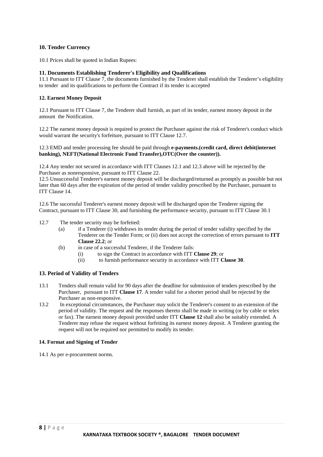## **10. Tender Currency**

10.1 Prices shall be quoted in Indian Rupees:

### **11. Documents Establishing Tenderer's Eligibility and Qualifications**

11.1 Pursuant to ITT Clause 7, the documents furnished by the Tenderer shall establish the Tenderer's eligibility to tender and its qualifications to perform the Contract if its tender is accepted

### **12. Earnest Money Deposit**

12.1 Pursuant to ITT Clause 7, the Tenderer shall furnish, as part of its tender, earnest money deposit in the amount the Notification.

12.2 The earnest money deposit is required to protect the Purchaser against the risk of Tenderer's conduct which would warrant the security's forfeiture, pursuant to ITT Clause 12.7.

#### 12.3 EMD and tender processing fee should be paid through **e-payments.(credit card, direct debit(internet banking), NEFT(National Electronic Fund Transfer),OTC(Over the counter)).**

12.4 Any tender not secured in accordance with ITT Clauses 12.1 and 12.3 above will be rejected by the Purchaser as nonresponsive, pursuant to ITT Clause 22.

12.5 Unsuccessful Tenderer's earnest money deposit will be discharged/returned as promptly as possible but not later than 60 days after the expiration of the period of tender validity prescribed by the Purchaser, pursuant to ITT Clause 14.

12.6 The successful Tenderer's earnest money deposit will be discharged upon the Tenderer signing the Contract, pursuant to ITT Clause 30, and furnishing the performance security, pursuant to ITT Clause 30.1

- 12.7 The tender security may be forfeited:
	- (a) if a Tenderer (i) withdraws its tender during the period of tender validity specified by the Tenderer on the Tender Form; or (ii) does not accept the correction of errors pursuant to **ITT Clause 22.2**; or
	- (b) in case of a successful Tenderer, if the Tenderer fails:
		- (i) to sign the Contract in accordance with ITT **Clause 29**; or
		- (ii) to furnish performance security in accordance with ITT **Clause 30**.

### **13. Period of Validity of Tenders**

- 13.1 Tenders shall remain valid for 90 days after the deadline for submission of tenders prescribed by the Purchaser, pursuant to ITT **Clause 17**. A tender valid for a shorter period shall be rejected by the Purchaser as non-responsive.
- 13.2 In exceptional circumstances, the Purchaser may solicit the Tenderer's consent to an extension of the period of validity. The request and the responses thereto shall be made in writing (or by cable or telex or fax). The earnest money deposit provided under ITT **Clause 12** shall also be suitably extended. A Tenderer may refuse the request without forfeiting its earnest money deposit. A Tenderer granting the request will not be required nor permitted to modify its tender.

### **14. Format and Signing of Tender**

14.1 As per e-procurement norms.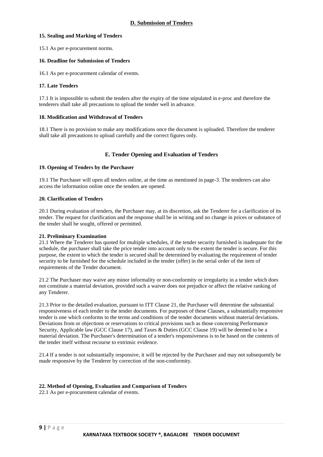## **15. Sealing and Marking of Tenders**

15.1 As per e-procurement norms.

### **16. Deadline for Submission of Tenders**

16.1 As per e-procurement calendar of events.

### **17. Late Tenders**

17.1 It is impossible to submit the tenders after the expiry of the time stipulated in e-proc and therefore the tenderers shall take all precautions to upload the tender well in advance.

### **18. Modification and Withdrawal of Tenders**

18.1 There is no provision to make any modifications once the document is uploaded. Therefore the tenderer shall take all precautions to upload carefully and the correct figures only.

### **E. Tender Opening and Evaluation of Tenders**

### **19. Opening of Tenders by the Purchaser**

19.1 The Purchaser will open all tenders online, at the time as mentioned in page-3. The tenderers can also access the information online once the tenders are opened.

## **20. Clarification of Tenders**

20.1 During evaluation of tenders, the Purchaser may, at its discretion, ask the Tenderer for a clarification of its tender. The request for clarification and the response shall be in writing and no change in prices or substance of the tender shall be sought, offered or permitted.

### **21. Preliminary Examination**

21.1 Where the Tenderer has quoted for multiple schedules, if the tender security furnished is inadequate for the schedule, the purchaser shall take the price tender into account only to the extent the tender is secure. For this purpose, the extent to which the tender is secured shall be determined by evaluating the requirement of tender security to be furnished for the schedule included in the tender (offer) in the serial order of the item of requirements of the Tender document.

21.2 The Purchaser may waive any minor informality or non-conformity or irregularity in a tender which does not constitute a material deviation, provided such a waiver does not prejudice or affect the relative ranking of any Tenderer.

21.3 Prior to the detailed evaluation, pursuant to ITT Clause 21, the Purchaser will determine the substantial responsiveness of each tender to the tender documents. For purposes of these Clauses, a substantially responsive tender is one which conforms to the terms and conditions of the tender documents without material deviations. Deviations from or objections or reservations to critical provisions such as those concerning Performance Security, Applicable law (GCC Clause 17), and Taxes & Duties (GCC Clause 19) will be deemed to be a material deviation. The Purchaser's determination of a tender's responsiveness is to be based on the contents of the tender itself without recourse to extrinsic evidence.

21.4 If a tender is not substantially responsive, it will be rejected by the Purchaser and may not subsequently be made responsive by the Tenderer by correction of the non-conformity.

## **22. Method of Opening, Evaluation and Comparison of Tenders**

22.1 As per e-procurement calendar of events.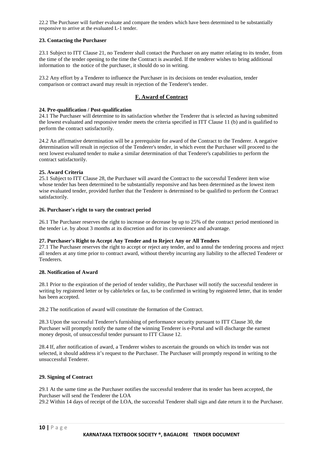22.2 The Purchaser will further evaluate and compare the tenders which have been determined to be substantially responsive to arrive at the evaluated L-1 tender.

## **23. Contacting the Purchaser**

23.1 Subject to ITT Clause 21, no Tenderer shall contact the Purchaser on any matter relating to its tender, from the time of the tender opening to the time the Contract is awarded. If the tenderer wishes to bring additional information to the notice of the purchaser, it should do so in writing.

23.2 Any effort by a Tenderer to influence the Purchaser in its decisions on tender evaluation, tender comparison or contract award may result in rejection of the Tenderer's tender.

## **F. Award of Contract**

## **24. Pre-qualification / Post-qualification**

24.1 The Purchaser will determine to its satisfaction whether the Tenderer that is selected as having submitted the lowest evaluated and responsive tender meets the criteria specified in ITT Clause 11 (b) and is qualified to perform the contract satisfactorily.

24.2 An affirmative determination will be a prerequisite for award of the Contract to the Tenderer. A negative determination will result in rejection of the Tenderer's tender, in which event the Purchaser will proceed to the next lowest evaluated tender to make a similar determination of that Tenderer's capabilities to perform the contract satisfactorily.

## **25. Award Criteria**

25.1 Subject to ITT Clause 28, the Purchaser will award the Contract to the successful Tenderer item wise whose tender has been determined to be substantially responsive and has been determined as the lowest item wise evaluated tender, provided further that the Tenderer is determined to be qualified to perform the Contract satisfactorily.

### **26. Purchaser's right to vary the contract period**

26.1 The Purchaser reserves the right to increase or decrease by up to 25% of the contract period mentioned in the tender i.e. by about 3 months at its discretion and for its convenience and advantage.

### **27. Purchaser's Right to Accept Any Tender and to Reject Any or All Tenders**

27.1 The Purchaser reserves the right to accept or reject any tender, and to annul the tendering process and reject all tenders at any time prior to contract award, without thereby incurring any liability to the affected Tenderer or Tenderers.

### **28. Notification of Award**

28.1 Prior to the expiration of the period of tender validity, the Purchaser will notify the successful tenderer in writing by registered letter or by cable/telex or fax, to be confirmed in writing by registered letter, that its tender has been accepted.

28.2 The notification of award will constitute the formation of the Contract.

28.3 Upon the successful Tenderer's furnishing of performance security pursuant to ITT Clause 30, the Purchaser will promptly notify the name of the winning Tenderer is e-Portal and will discharge the earnest money deposit, of unsuccessful tender pursuant to ITT Clause 12.

28.4 If, after notification of award, a Tenderer wishes to ascertain the grounds on which its tender was not selected, it should address it's request to the Purchaser. The Purchaser will promptly respond in writing to the unsuccessful Tenderer.

### **29. Signing of Contract**

29.1 At the same time as the Purchaser notifies the successful tenderer that its tender has been accepted, the Purchaser will send the Tenderer the LOA

29.2 Within 14 days of receipt of the LOA, the successful Tenderer shall sign and date return it to the Purchaser.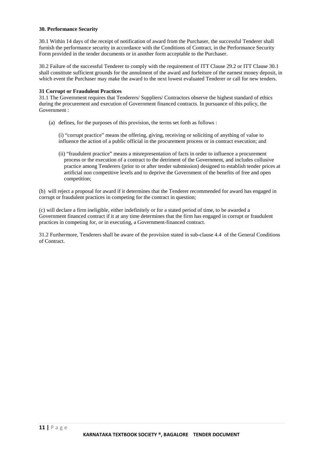#### **30. Performance Security**

30.1 Within 14 days of the receipt of notification of award from the Purchaser, the successful Tenderer shall furnish the performance security in accordance with the Conditions of Contract, in the Performance Security Form provided in the tender documents or in another form acceptable to the Purchaser.

30.2 Failure of the successful Tenderer to comply with the requirement of ITT Clause 29.2 or ITT Clause 30.1 shall constitute sufficient grounds for the annulment of the award and forfeiture of the earnest money deposit, in which event the Purchaser may make the award to the next lowest evaluated Tenderer or call for new tenders.

### **31 Corrupt or Fraudulent Practices**

31.1 The Government requires that Tenderers/ Suppliers/ Contractors observe the highest standard of ethics during the procurement and execution of Government financed contracts. In pursuance of this policy, the Government :

(a) defines, for the purposes of this provision, the terms set forth as follows :

(i) "corrupt practice" means the offering, giving, receiving or soliciting of anything of value to influence the action of a public official in the procurement process or in contract execution; and

(ii) "fraudulent practice" means a misrepresentation of facts in order to influence a procurement process or the execution of a contract to the detriment of the Government, and includes collusive practice among Tenderers (prior to or after tender submission) designed to establish tender prices at artificial non competitive levels and to deprive the Government of the benefits of free and open competition;

(b) will reject a proposal for award if it determines that the Tenderer recommended for award has engaged in corrupt or fraudulent practices in competing for the contract in question;

(c) will declare a firm ineligible, either indefinitely or for a stated period of time, to be awarded a Government financed contract if it at any time determines that the firm has engaged in corrupt or fraudulent practices in competing for, or in executing, a Government-financed contract.

31.2 Furthermore, Tenderers shall be aware of the provision stated in sub-clause 4.4 of the General Conditions of Contract.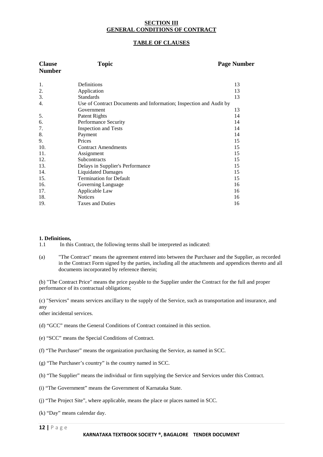### **SECTION III GENERAL CONDITIONS OF CONTRACT**

## **TABLE OF CLAUSES**

| <b>Clause</b><br><b>Number</b> | <b>Topic</b>                                                       | <b>Page Number</b> |  |  |
|--------------------------------|--------------------------------------------------------------------|--------------------|--|--|
| 1.                             | Definitions                                                        | 13                 |  |  |
| 2.                             | Application                                                        | 13                 |  |  |
| 3.                             | <b>Standards</b>                                                   | 13                 |  |  |
| 4.                             | Use of Contract Documents and Information; Inspection and Audit by |                    |  |  |
|                                | Government                                                         | 13                 |  |  |
| 5.                             | <b>Patent Rights</b>                                               | 14                 |  |  |
| 6.                             | Performance Security                                               | 14                 |  |  |
| 7.                             | <b>Inspection and Tests</b>                                        | 14                 |  |  |
| 8.                             | Payment                                                            | 14                 |  |  |
| 9.                             | Prices                                                             | 15                 |  |  |
| 10.                            | <b>Contract Amendments</b>                                         | 15                 |  |  |
| 11.                            | Assignment                                                         | 15                 |  |  |
| 12.                            | <b>Subcontracts</b>                                                | 15                 |  |  |
| 13.                            | Delays in Supplier's Performance                                   | 15                 |  |  |
| 14.                            | <b>Liquidated Damages</b>                                          | 15                 |  |  |
| 15.                            | <b>Termination for Default</b>                                     | 15                 |  |  |
| 16.                            | Governing Language                                                 | 16                 |  |  |
| 17.                            | Applicable Law                                                     | 16                 |  |  |
| 18.                            | <b>Notices</b>                                                     | 16                 |  |  |
| 19.                            | <b>Taxes and Duties</b>                                            | 16                 |  |  |

### **1. Definitions,**

1.1 In this Contract, the following terms shall be interpreted as indicated:

(a) "The Contract" means the agreement entered into between the Purchaser and the Supplier, as recorded in the Contract Form signed by the parties, including all the attachments and appendices thereto and all documents incorporated by reference therein;

(b) "The Contract Price" means the price payable to the Supplier under the Contract for the full and proper performance of its contractual obligations;

(c) "Services" means services ancillary to the supply of the Service, such as transportation and insurance, and any

other incidental services.

- (d) "GCC" means the General Conditions of Contract contained in this section.
- (e) "SCC" means the Special Conditions of Contract.
- (f) "The Purchaser" means the organization purchasing the Service, as named in SCC.
- (g) "The Purchaser's country" is the country named in SCC.
- (h) "The Supplier" means the individual or firm supplying the Service and Services under this Contract.
- (i) "The Government" means the Government of Karnataka State.
- (j) "The Project Site", where applicable, means the place or places named in SCC.
- (k) "Day" means calendar day.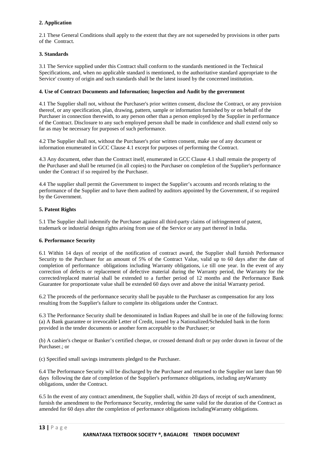## **2. Application**

2.1 These General Conditions shall apply to the extent that they are not superseded by provisions in other parts of the Contract.

## **3. Standards**

3.1 The Service supplied under this Contract shall conform to the standards mentioned in the Technical Specifications, and, when no applicable standard is mentioned, to the authoritative standard appropriate to the Service' country of origin and such standards shall be the latest issued by the concerned institution.

## **4. Use of Contract Documents and Information; Inspection and Audit by the government**

4.1 The Supplier shall not, without the Purchaser's prior written consent, disclose the Contract, or any provision thereof, or any specification, plan, drawing, pattern, sample or information furnished by or on behalf of the Purchaser in connection therewith, to any person other than a person employed by the Supplier in performance of the Contract. Disclosure to any such employed person shall be made in confidence and shall extend only so far as may be necessary for purposes of such performance.

4.2 The Supplier shall not, without the Purchaser's prior written consent, make use of any document or information enumerated in GCC Clause 4.1 except for purposes of performing the Contract.

4.3 Any document, other than the Contract itself, enumerated in GCC Clause 4.1 shall remain the property of the Purchaser and shall be returned (in all copies) to the Purchaser on completion of the Supplier's performance under the Contract if so required by the Purchaser.

4.4 The supplier shall permit the Government to inspect the Supplier's accounts and records relating to the performance of the Supplier and to have them audited by auditors appointed by the Government, if so required by the Government.

## **5. Patent Rights**

5.1 The Supplier shall indemnify the Purchaser against all third-party claims of infringement of patent, trademark or industrial design rights arising from use of the Service or any part thereof in India.

### **6. Performance Security**

6.1 Within 14 days of receipt of the notification of contract award, the Supplier shall furnish Performance Security to the Purchaser for an amount of 5% of the Contract Value, valid up to 60 days after the date of completion of performance obligations including Warranty obligations, i.e till one year. In the event of any correction of defects or replacement of defective material during the Warranty period, the Warranty for the corrected/replaced material shall be extended to a further period of 12 months and the Performance Bank Guarantee for proportionate value shall be extended 60 days over and above the initial Warranty period.

6.2 The proceeds of the performance security shall be payable to the Purchaser as compensation for any loss resulting from the Supplier's failure to complete its obligations under the Contract.

6.3 The Performance Security shall be denominated in Indian Rupees and shall be in one of the following forms: (a) A Bank guarantee or irrevocable Letter of Credit, issued by a Nationalized/Scheduled bank in the form provided in the tender documents or another form acceptable to the Purchaser; or

(b) A cashier's cheque or Banker's certified cheque, or crossed demand draft or pay order drawn in favour of the Purchaser.; or

(c) Specified small savings instruments pledged to the Purchaser.

6.4 The Performance Security will be discharged by the Purchaser and returned to the Supplier not later than 90 days following the date of completion of the Supplier's performance obligations, including anyWarranty obligations, under the Contract.

6.5 In the event of any contract amendment, the Supplier shall, within 20 days of receipt of such amendment, furnish the amendment to the Performance Security, rendering the same valid for the duration of the Contract as amended for 60 days after the completion of performance obligations includingWarranty obligations.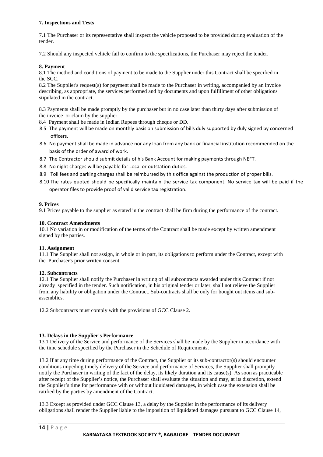## **7. Inspections and Tests**

7.1 The Purchaser or its representative shall inspect the vehicle proposed to be provided during evaluation of the tender.

7.2 Should any inspected vehicle fail to confirm to the specifications, the Purchaser may reject the tender.

### **8. Payment**

8.1 The method and conditions of payment to be made to the Supplier under this Contract shall be specified in the SCC.

8.2 The Supplier's request(s) for payment shall be made to the Purchaser in writing, accompanied by an invoice describing, as appropriate, the services performed and by documents and upon fulfillment of other obligations stipulated in the contract.

8.3 Payments shall be made promptly by the purchaser but in no case later than thirty days after submission of the invoice or claim by the supplier.

- 8.4 Payment shall be made in Indian Rupees through cheque or DD.
- 8.5 The payment will be made on monthly basis on submission of bills duly supported by duly signed by concerned officers.
- 8.6 No payment shall be made in advance nor any loan from any bank or financial institution recommended on the basis of the order of award of work.
- 8.7 The Contractor should submit details of his Bank Account for making payments through NEFT.
- 8.8 No night charges will be payable for Local or outstation duties.
- 8.9 Toll fees and parking charges shall be reimbursed by this office against the production of proper bills.
- 8.10 The rates quoted should be specifically maintain the service tax component. No service tax will be paid if the operator files to provide proof of valid service tax registration.

## **9. Prices**

9.1 Prices payable to the supplier as stated in the contract shall be firm during the performance of the contract.

## **10. Contract Amendments**

10.1 No variation in or modification of the terms of the Contract shall be made except by written amendment signed by the parties.

### **11. Assignment**

11.1 The Supplier shall not assign, in whole or in part, its obligations to perform under the Contract, except with the Purchaser's prior written consent.

### **12. Subcontracts**

12.1 The Supplier shall notify the Purchaser in writing of all subcontracts awarded under this Contract if not already specified in the tender. Such notification, in his original tender or later, shall not relieve the Supplier from any liability or obligation under the Contract. Sub-contracts shall be only for bought out items and subassemblies.

12.2 Subcontracts must comply with the provisions of GCC Clause 2.

### **13. Delays in the Supplier's Performance**

13.1 Delivery of the Service and performance of the Services shall be made by the Supplier in accordance with the time schedule specified by the Purchaser in the Schedule of Requirements.

13.2 If at any time during performance of the Contract, the Supplier or its sub-contractor(s) should encounter conditions impeding timely delivery of the Service and performance of Services, the Supplier shall promptly notify the Purchaser in writing of the fact of the delay, its likely duration and its cause(s). As soon as practicable after receipt of the Supplier's notice, the Purchaser shall evaluate the situation and may, at its discretion, extend the Supplier's time for performance with or without liquidated damages, in which case the extension shall be ratified by the parties by amendment of the Contract.

13.3 Except as provided under GCC Clause 13, a delay by the Supplier in the performance of its delivery obligations shall render the Supplier liable to the imposition of liquidated damages pursuant to GCC Clause 14,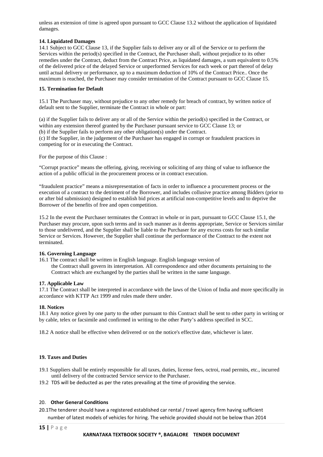unless an extension of time is agreed upon pursuant to GCC Clause 13.2 without the application of liquidated damages.

## **14. Liquidated Damages**

14.1 Subject to GCC Clause 13, if the Supplier fails to deliver any or all of the Service or to perform the Services within the period(s) specified in the Contract, the Purchaser shall, without prejudice to its other remedies under the Contract, deduct from the Contract Price, as liquidated damages, a sum equivalent to 0.5% of the delivered price of the delayed Service or unperformed Services for each week or part thereof of delay until actual delivery or performance, up to a maximum deduction of 10% of the Contract Price.. Once the maximum is reached, the Purchaser may consider termination of the Contract pursuant to GCC Clause 15.

## **15. Termination for Default**

15.1 The Purchaser may, without prejudice to any other remedy for breach of contract, by written notice of default sent to the Supplier, terminate the Contract in whole or part:

(a) if the Supplier fails to deliver any or all of the Service within the period(s) specified in the Contract, or within any extension thereof granted by the Purchaser pursuant service to GCC Clause 13; or (b) if the Supplier fails to perform any other obligation(s) under the Contract. (c) If the Supplier, in the judgement of the Purchaser has engaged in corrupt or fraudulent practices in competing for or in executing the Contract.

For the purpose of this Clause :

"Corrupt practice" means the offering, giving, receiving or soliciting of any thing of value to influence the action of a public official in the procurement process or in contract execution.

"fraudulent practice" means a misrepresentation of facts in order to influence a procurement process or the execution of a contract to the detriment of the Borrower, and includes collusive practice among Bidders (prior to or after bid submission) designed to establish bid prices at artificial non-competitive levels and to deprive the Borrower of the benefits of free and open competition.

15.2 In the event the Purchaser terminates the Contract in whole or in part, pursuant to GCC Clause 15.1, the Purchaser may procure, upon such terms and in such manner as it deems appropriate, Service or Services similar to those undelivered, and the Supplier shall be liable to the Purchaser for any excess costs for such similar Service or Services. However, the Supplier shall continue the performance of the Contract to the extent not terminated.

### **16. Governing Language**

16.1 The contract shall be written in English language. English language version of the Contract shall govern its interpretation. All correspondence and other documents pertaining to the Contract which are exchanged by the parties shall be written in the same language.

## **17. Applicable Law**

17.1 The Contract shall be interpreted in accordance with the laws of the Union of India and more specifically in accordance with KTTP Act 1999 and rules made there under.

### **18. Notices**

18.1 Any notice given by one party to the other pursuant to this Contract shall be sent to other party in writing or by cable, telex or facsimile and confirmed in writing to the other Party's address specified in SCC.

18.2 A notice shall be effective when delivered or on the notice's effective date, whichever is later.

## **19. Taxes and Duties**

- 19.1 Suppliers shall be entirely responsible for all taxes, duties, license fees, octroi, road permits, etc., incurred until delivery of the contracted Service service to the Purchaser.
- 19.2 TDS will be deducted as per the rates prevailing at the time of providing the service.

### 20. **Other General Conditions**

20.1The tenderer should have a registered established car rental / travel agency firm having sufficient

number of latest models of vehicles for hiring. The vehicle provided should not be below than 2014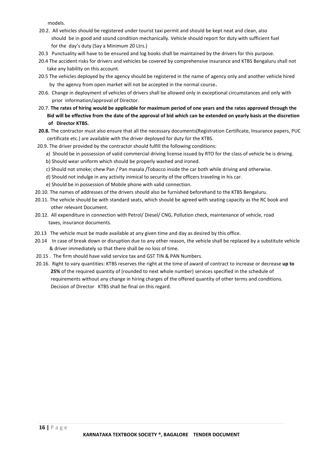models.

- 20.2. All vehicles should be registered under tourist taxi permit and should be kept neat and clean, also should be in good and sound condition mechanically. Vehicle should report for duty with sufficient fuel for the day's duty (Say a Minimum 20 Ltrs.)
- 20.3 Punctuality will have to be ensured and log books shall be maintained by the drivers for this purpose.
- 20.4 The accident risks for drivers and vehicles be covered by comprehensive insurance and KTBS Bengaluru shall not take any liability on this account.
- 20.5 The vehicles deployed by the agency should be registered in the name of agency only and another vehicle hired by the agency from open market will not be accepted in the normal course.
- 20.6. Change in deployment of vehicles of drivers shall be allowed only in exceptional circumstances and only with prior information/approval of Director.
- 20.7. **The rates of hiring would be applicable for maximum period of one years and the rates approved through the Bid will be effective from the date of the approval of bid which can be extended on yearly basis at the discretion of Director KTBS.**
- **20.8.** The contractor must also ensure that all the necessary documents(Registration Certificate, Insurance papers, PUC certificate etc.) are available with the driver deployed for duty for the KTBS.
- 20.9. The driver provided by the contractor should fulfill the following conditions:
	- a) Should be in possession of valid commercial driving license issued by RTO for the class of vehicle he is driving.
	- b) Should wear uniform which should be properly washed and ironed.
	- c) Should not smoke; chew Pan / Pan masala /Tobacco inside the car both while driving and otherwise.
	- d) Should not indulge in any activity inimical to security of the officers traveling in his car.
	- e) Should be in possession of Mobile phone with valid connection.
- 20.10. The names of addresses of the drivers should also be furnished beforehand to the KTBS Bengaluru.
- 20.11. The vehicle should be with standard seats, which should be agreed with seating capacity as the RC book and other relevant Document.
- 20.12. All expenditure in connection with Petrol/ Diesel/ CNG, Pollution check, maintenance of vehicle, road taxes, insurance documents.
- 20.13 The vehicle must be made available at any given time and day as desired by this office.
- 20.14 In case of break down or disruption due to any other reason, the vehicle shall be replaced by a substitute vehicle & driver immediately so that there shall be no loss of time.
- 20.15 . The firm should have valid service tax and GST TIN & PAN Numbers.
- 20.16. Right to vary quantities: KTBS reserves the right at the time of award of contract to increase or decrease **up to 25%** of the required quantity of (rounded to next whole number) services specified in the schedule of requirements without any change in hiring charges of the offered quantity of other terms and conditions. Decision of Director KTBS shall be final on this regard.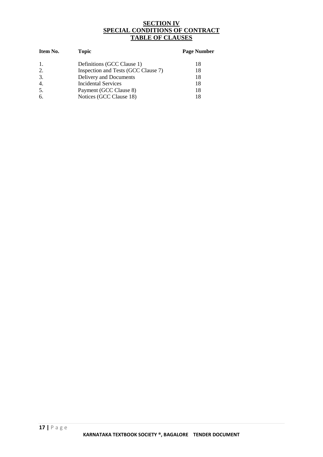## **SECTION IV SPECIAL CONDITIONS OF CONTRACT TABLE OF CLAUSES**

| Item No.         | <b>Topic</b>                        | <b>Page Number</b> |  |
|------------------|-------------------------------------|--------------------|--|
| -1.              | Definitions (GCC Clause 1)          | 18                 |  |
| 2.               | Inspection and Tests (GCC Clause 7) | 18                 |  |
| 3.               | Delivery and Documents              | 18                 |  |
| $\overline{4}$ . | <b>Incidental Services</b>          | 18                 |  |
| 5.               | Payment (GCC Clause 8)              | 18                 |  |
| 6.               | Notices (GCC Clause 18)             | 18                 |  |
|                  |                                     |                    |  |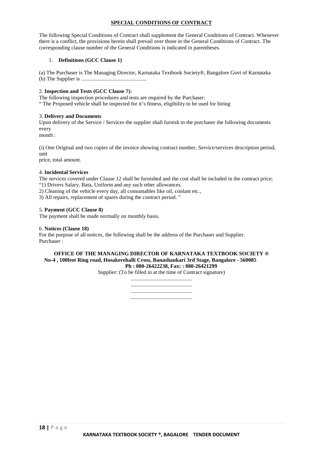## **SPECIAL CONDITIONS OF CONTRACT**

The following Special Conditions of Contract shall supplement the General Conditions of Contract. Whenever there is a conflict, the provisions herein shall prevail over those in the General Conditions of Contract. The corresponding clause number of the General Conditions is indicated in parentheses.

## 1. **Definitions (GCC Clause 1)**

(a) The Purchaser is The Managing Director, Karnataka Textbook Society®, Bangalore Govt of Karnataka (b) The Supplier is ................................................

## 2. **Inspection and Tests (GCC Clause 7)**<sup>1</sup>

The following inspection procedures and tests are required by the Purchaser: " The Proposed vehicle shall be inspected for it's fitness, eligibility to be used for hiring

### 3. **Delivery and Documents**

Upon delivery of the Service / Services the supplier shall furnish to the purchaser the following documents every

month :

(i) One Original and two copies of the invoice showing contract number, Service/services description period, unit price, total amount.

### 4. **Incidental Services**

The services covered under Clause 12 shall be furnished and the cost shall be included in the contract price; "1) Drivers Salary, Bata, Uniform and any such other allowances.

2) Cleaning of the vehicle every day, all consumables like oil, coolant etc.,

3) All repairs, replacement of spares during the contract period. "

## 5. **Payment (GCC Clause 8)**

The payment shall be made normally on monthly basis.

### 6. **Notices (Clause 18)**

For the purpose of all notices, the following shall be the address of the Purchaser and Supplier. Purchaser :

#### **OFFICE OF THE MANAGING DIRECTOR OF KARNATAKA TEXTBOOK SOCIETY ® No-4 , 100feet Ring road, Hosakerehalli Cross, Banashankari 3rd Stage, Bangalore - 560085 Ph : 080-26422238, Fax: : 080-26421299**

Supplier: (To be filled in at the time of Contract signature)

............................................. ............................................. ............................................. .............................................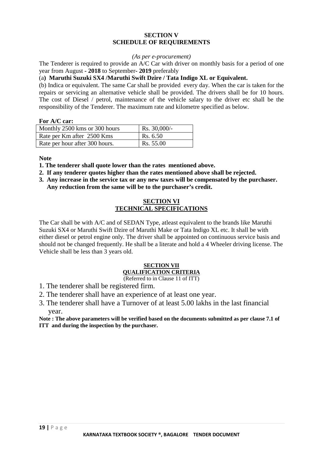## **SECTION V SCHEDULE OF REQUIREMENTS**

## *(As per e-procurement)*

The Tenderer is required to provide an A/C Car with driver on monthly basis for a period of one year from August **- 2018** to September**- 2019** preferably

## (a**) Maruthi Suzuki SX4 /Maruthi Swift Dzire / Tata Indigo XL or Equivalent.**

(b) Indica or equivalent. The same Car shall be provided every day. When the car is taken for the repairs or servicing an alternative vehicle shall be provided. The drivers shall be for 10 hours. The cost of Diesel / petrol, maintenance of the vehicle salary to the driver etc shall be the responsibility of the Tenderer. The maximum rate and kilometre specified as below.

## **For A/C car:**

| Monthly 2500 kms or 300 hours  | $Rs. 30,000/-$ |
|--------------------------------|----------------|
| Rate per Km after 2500 Kms     | Rs. 6.50       |
| Rate per hour after 300 hours. | Rs. 55.00      |

**Note** 

**1. The tenderer shall quote lower than the rates mentioned above.**

- **2. If any tenderer quotes higher than the rates mentioned above shall be rejected.**
- **3. Any increase in the service tax or any new taxes will be compensated by the purchaser. Any reduction from the same will be to the purchaser's credit.**

## **SECTION VI TECHNICAL SPECIFICATIONS**

The Car shall be with A/C and of SEDAN Type, atleast equivalent to the brands like Maruthi Suzuki SX4 or Maruthi Swift Dzire of Maruthi Make or Tata Indigo XL etc. It shall be with either diesel or petrol engine only. The driver shall be appointed on continuous service basis and should not be changed frequently. He shall be a literate and hold a 4 Wheeler driving license. The Vehicle shall be less than 3 years old.

## **SECTION VII QUALIFICATION CRITERIA**

(Referred to in Clause 11 of ITT)

- 1. The tenderer shall be registered firm.
- 2. The tenderer shall have an experience of at least one year.
- 3. The tenderer shall have a Turnover of at least 5.00 lakhs in the last financial year.

**Note : The above parameters will be verified based on the documents submitted as per clause 7.1 of ITT and during the inspection by the purchaser.**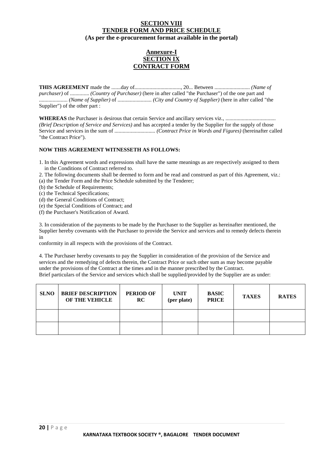## **SECTION VIII TENDER FORM AND PRICE SCHEDULE (As per the e-procurement format available in the portal)**

## **Annexure-I SECTION IX CONTRACT FORM**

**THIS AGREEMENT** made the .......day of.................................., 20... Between .......................... *(Name of purchaser)* of .............. *(Country of Purchaser)* (here in after called "the Purchaser") of the one part and ..................... *(Name of Supplier)* of ......................... *(City and Country of Supplier)* (here in after called "the Supplier") of the other part :

**WHEREAS** the Purchaser is desirous that certain Service and ancillary services viz., ..................................... *(Brief Description of Service and Services)* and has accepted a tender by the Supplier for the supply of those Service and services in the sum of .............................. *(Contract Price in Words and Figures)* (hereinafter called "the Contract Price").

## **NOW THIS AGREEMENT WITNESSETH AS FOLLOWS:**

- 1. In this Agreement words and expressions shall have the same meanings as are respectively assigned to them in the Conditions of Contract referred to.
- 2. The following documents shall be deemed to form and be read and construed as part of this Agreement, viz.:
- (a) the Tender Form and the Price Schedule submitted by the Tenderer;
- (b) the Schedule of Requirements;
- (c) the Technical Specifications;
- (d) the General Conditions of Contract;
- (e) the Special Conditions of Contract; and
- (f) the Purchaser's Notification of Award.

3. In consideration of the payments to be made by the Purchaser to the Supplier as hereinafter mentioned, the Supplier hereby covenants with the Purchaser to provide the Service and services and to remedy defects therein in

conformity in all respects with the provisions of the Contract.

4. The Purchaser hereby covenants to pay the Supplier in consideration of the provision of the Service and services and the remedying of defects therein, the Contract Price or such other sum as may become payable under the provisions of the Contract at the times and in the manner prescribed by the Contract. Brief particulars of the Service and services which shall be supplied/provided by the Supplier are as under:

| <b>SLNO</b> | <b>BRIEF DESCRIPTION</b><br>OF THE VEHICLE | <b>PERIOD OF</b><br>RC | <b>UNIT</b><br>(per plate) | <b>BASIC</b><br><b>PRICE</b> | <b>TAXES</b> | <b>RATES</b> |
|-------------|--------------------------------------------|------------------------|----------------------------|------------------------------|--------------|--------------|
|             |                                            |                        |                            |                              |              |              |
|             |                                            |                        |                            |                              |              |              |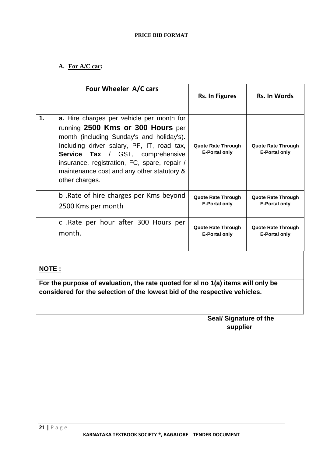## **PRICE BID FORMAT**

## **A. For A/C car:**

|               | Four Wheeler A/C cars                                                                                                                                                                                                                                                                                                         | <b>Rs. In Figures</b>                             | <b>Rs. In Words</b>                               |
|---------------|-------------------------------------------------------------------------------------------------------------------------------------------------------------------------------------------------------------------------------------------------------------------------------------------------------------------------------|---------------------------------------------------|---------------------------------------------------|
| $\mathbf 1$ . | a. Hire charges per vehicle per month for<br>running 2500 Kms or 300 Hours per<br>month (including Sunday's and holiday's).<br>Including driver salary, PF, IT, road tax,<br>Service Tax / GST, comprehensive<br>insurance, registration, FC, spare, repair /<br>maintenance cost and any other statutory &<br>other charges. | <b>Quote Rate Through</b><br><b>E-Portal only</b> | <b>Quote Rate Through</b><br><b>E-Portal only</b> |
|               | b. Rate of hire charges per Kms beyond                                                                                                                                                                                                                                                                                        | <b>Quote Rate Through</b>                         | <b>Quote Rate Through</b>                         |
|               | 2500 Kms per month                                                                                                                                                                                                                                                                                                            | <b>E-Portal only</b>                              | <b>E-Portal only</b>                              |
|               | c. Rate per hour after 300 Hours per                                                                                                                                                                                                                                                                                          | <b>Quote Rate Through</b>                         | <b>Quote Rate Through</b>                         |
|               | month.                                                                                                                                                                                                                                                                                                                        | <b>E-Portal only</b>                              | <b>E-Portal only</b>                              |

## **NOTE :**

**For the purpose of evaluation, the rate quoted for sl no 1(a) items will only be considered for the selection of the lowest bid of the respective vehicles.**

## **Seal/ Signature of the supplier**